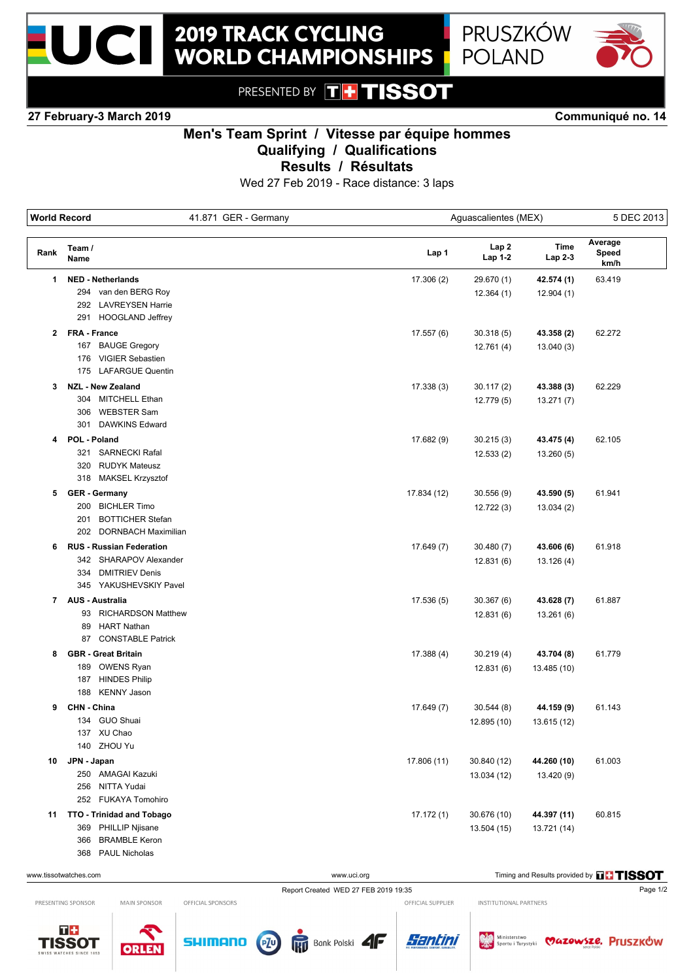



PRESENTED BY THTISSOT

**27 February-3 March 2019 Communiqué no. 14**

## **Men's Team Sprint / Vitesse par équipe hommes Qualifying / Qualifications**

**Results / Résultats**

Wed 27 Feb 2019 - Race distance: 3 laps

| <b>World Record</b> |                                                           | 41.871 GER - Germany | Aguascalientes (MEX) |                 |                 |                          | 5 DEC 2013 |  |
|---------------------|-----------------------------------------------------------|----------------------|----------------------|-----------------|-----------------|--------------------------|------------|--|
| Rank                | Team /<br>Name                                            |                      | Lap 1                | Lap2<br>Lap 1-2 | Time<br>Lap 2-3 | Average<br>Speed<br>km/h |            |  |
| 1                   | <b>NED - Netherlands</b>                                  |                      | 17.306(2)            | 29.670 (1)      | 42.574 (1)      | 63.419                   |            |  |
|                     | 294 van den BERG Roy                                      |                      |                      | 12.364(1)       | 12.904(1)       |                          |            |  |
|                     | 292 LAVREYSEN Harrie                                      |                      |                      |                 |                 |                          |            |  |
|                     | 291 HOOGLAND Jeffrey                                      |                      |                      |                 |                 |                          |            |  |
|                     | 2 FRA - France                                            |                      | 17.557(6)            | 30.318(5)       | 43.358 (2)      | 62.272                   |            |  |
|                     | 167 BAUGE Gregory                                         |                      |                      | 12.761(4)       | 13.040(3)       |                          |            |  |
|                     | 176 VIGIER Sebastien                                      |                      |                      |                 |                 |                          |            |  |
|                     | 175 LAFARGUE Quentin                                      |                      |                      |                 |                 |                          |            |  |
| 3                   | <b>NZL - New Zealand</b>                                  |                      | 17.338(3)            | 30.117(2)       | 43.388 (3)      | 62.229                   |            |  |
|                     | 304 MITCHELL Ethan                                        |                      |                      | 12.779 (5)      | 13.271(7)       |                          |            |  |
|                     | 306 WEBSTER Sam                                           |                      |                      |                 |                 |                          |            |  |
|                     | 301 DAWKINS Edward                                        |                      |                      |                 |                 |                          |            |  |
| 4                   | POL - Poland                                              |                      | 17.682 (9)           | 30.215(3)       | 43.475 (4)      | 62.105                   |            |  |
|                     | 321 SARNECKI Rafal                                        |                      |                      | 12.533(2)       | 13.260 (5)      |                          |            |  |
|                     | 320 RUDYK Mateusz                                         |                      |                      |                 |                 |                          |            |  |
|                     | 318 MAKSEL Krzysztof                                      |                      |                      |                 |                 |                          |            |  |
|                     | 5 GER - Germany                                           |                      |                      |                 |                 | 61.941                   |            |  |
|                     | 200 BICHLER Timo                                          |                      | 17.834 (12)          | 30.556(9)       | 43.590 (5)      |                          |            |  |
|                     | <b>BOTTICHER Stefan</b><br>201                            |                      |                      | 12.722(3)       | 13.034(2)       |                          |            |  |
|                     | 202 DORNBACH Maximilian                                   |                      |                      |                 |                 |                          |            |  |
|                     |                                                           |                      |                      |                 |                 |                          |            |  |
| 6                   | <b>RUS - Russian Federation</b><br>342 SHARAPOV Alexander |                      | 17.649 (7)           | 30.480(7)       | 43.606 (6)      | 61.918                   |            |  |
|                     | 334 DMITRIEV Denis                                        |                      |                      | 12.831(6)       | 13.126 (4)      |                          |            |  |
|                     | 345 YAKUSHEVSKIY Pavel                                    |                      |                      |                 |                 |                          |            |  |
|                     |                                                           |                      |                      |                 |                 |                          |            |  |
|                     | 7 AUS - Australia                                         |                      | 17.536 (5)           | 30.367 (6)      | 43.628 (7)      | 61.887                   |            |  |
|                     | 93 RICHARDSON Matthew                                     |                      |                      | 12.831(6)       | 13.261 (6)      |                          |            |  |
|                     | <b>HART Nathan</b><br>89<br>87 CONSTABLE Patrick          |                      |                      |                 |                 |                          |            |  |
|                     |                                                           |                      |                      |                 |                 |                          |            |  |
| 8                   | <b>GBR - Great Britain</b>                                |                      | 17.388 (4)           | 30.219(4)       | 43.704 (8)      | 61.779                   |            |  |
|                     | 189 OWENS Ryan                                            |                      |                      | 12.831(6)       | 13.485 (10)     |                          |            |  |
|                     | <b>HINDES Philip</b><br>187<br>188 KENNY Jason            |                      |                      |                 |                 |                          |            |  |
|                     |                                                           |                      |                      |                 |                 |                          |            |  |
| 9                   | CHN - China                                               |                      | 17.649 (7)           | 30.544(8)       | 44.159 (9)      | 61.143                   |            |  |
|                     | 134 GUO Shuai                                             |                      |                      | 12.895 (10)     | 13.615 (12)     |                          |            |  |
|                     | 137 XU Chao                                               |                      |                      |                 |                 |                          |            |  |
|                     | 140 ZHOU Yu                                               |                      |                      |                 |                 |                          |            |  |
| 10                  | JPN - Japan                                               |                      | 17.806 (11)          | 30.840 (12)     | 44.260 (10)     | 61.003                   |            |  |
|                     | 250 AMAGAI Kazuki                                         |                      |                      | 13.034 (12)     | 13.420 (9)      |                          |            |  |
|                     | 256 NITTA Yudai                                           |                      |                      |                 |                 |                          |            |  |
|                     | 252 FUKAYA Tomohiro                                       |                      |                      |                 |                 |                          |            |  |
|                     | 11 TTO - Trinidad and Tobago                              |                      | 17.172(1)            | 30.676 (10)     | 44.397 (11)     | 60.815                   |            |  |
|                     | PHILLIP Njisane<br>369                                    |                      |                      | 13.504 (15)     | 13.721 (14)     |                          |            |  |
|                     | <b>BRAMBLE Keron</b><br>366                               |                      |                      |                 |                 |                          |            |  |
|                     | 368 PAUL Nicholas                                         |                      |                      |                 |                 |                          |            |  |

Report Created WED 27 FEB 2019 19:35 Page 1/2

Bank Polski **4F** 

www.uci.org Timing and Results provided by **THSSOT** 

PRESENTING SPONSOR

MAIN SPONSOR

**ORLER** 



OFFICIAL SPONSORS

**SHIMANO** 

OFFICIAL SUPPLIER INSTITUTIONAL PARTNERS